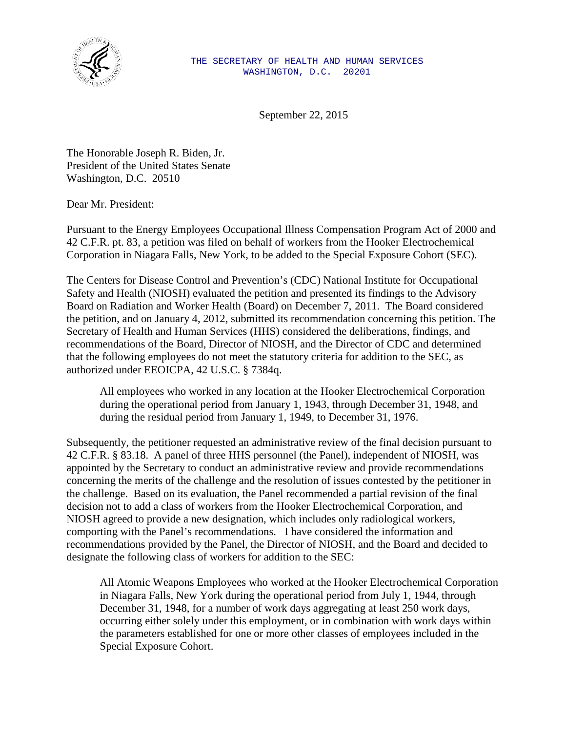

September 22, 2015

The Honorable Joseph R. Biden, Jr. President of the United States Senate Washington, D.C. 20510

Dear Mr. President:

Pursuant to the Energy Employees Occupational Illness Compensation Program Act of 2000 and 42 C.F.R. pt. 83, a petition was filed on behalf of workers from the Hooker Electrochemical Corporation in Niagara Falls, New York, to be added to the Special Exposure Cohort (SEC).

The Centers for Disease Control and Prevention's (CDC) National Institute for Occupational Safety and Health (NIOSH) evaluated the petition and presented its findings to the Advisory Board on Radiation and Worker Health (Board) on December 7, 2011. The Board considered the petition, and on January 4, 2012, submitted its recommendation concerning this petition. The Secretary of Health and Human Services (HHS) considered the deliberations, findings, and recommendations of the Board, Director of NIOSH, and the Director of CDC and determined that the following employees do not meet the statutory criteria for addition to the SEC, as authorized under EEOICPA, 42 U.S.C. § 7384q.

All employees who worked in any location at the Hooker Electrochemical Corporation during the operational period from January 1, 1943, through December 31, 1948, and during the residual period from January 1, 1949, to December 31, 1976.

Subsequently, the petitioner requested an administrative review of the final decision pursuant to 42 C.F.R. § 83.18. A panel of three HHS personnel (the Panel), independent of NIOSH, was appointed by the Secretary to conduct an administrative review and provide recommendations concerning the merits of the challenge and the resolution of issues contested by the petitioner in the challenge. Based on its evaluation, the Panel recommended a partial revision of the final decision not to add a class of workers from the Hooker Electrochemical Corporation, and NIOSH agreed to provide a new designation, which includes only radiological workers, comporting with the Panel's recommendations. I have considered the information and recommendations provided by the Panel, the Director of NIOSH, and the Board and decided to designate the following class of workers for addition to the SEC: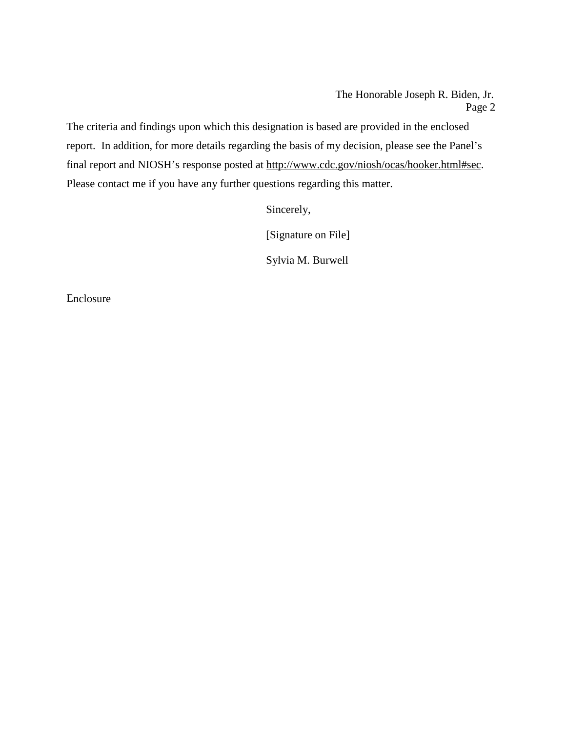Sincerely,

[Signature on File]

Sylvia M. Burwell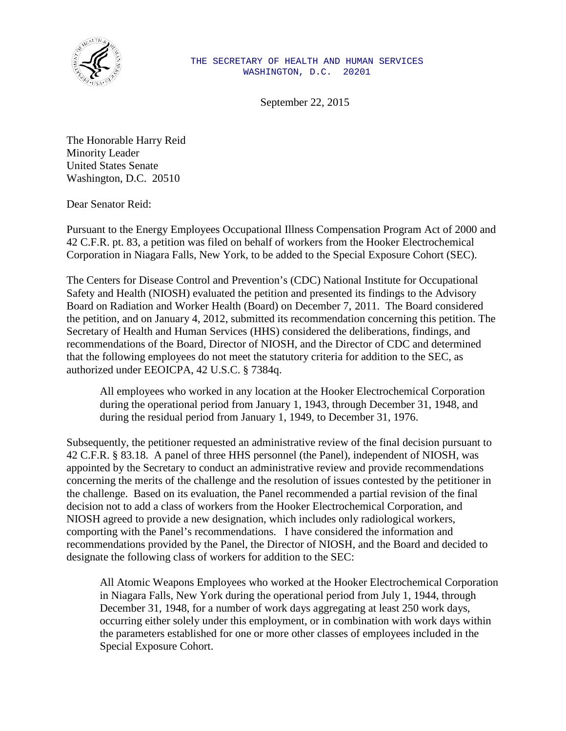

September 22, 2015

The Honorable Harry Reid Minority Leader United States Senate Washington, D.C. 20510

Dear Senator Reid:

Pursuant to the Energy Employees Occupational Illness Compensation Program Act of 2000 and 42 C.F.R. pt. 83, a petition was filed on behalf of workers from the Hooker Electrochemical Corporation in Niagara Falls, New York, to be added to the Special Exposure Cohort (SEC).

The Centers for Disease Control and Prevention's (CDC) National Institute for Occupational Safety and Health (NIOSH) evaluated the petition and presented its findings to the Advisory Board on Radiation and Worker Health (Board) on December 7, 2011. The Board considered the petition, and on January 4, 2012, submitted its recommendation concerning this petition. The Secretary of Health and Human Services (HHS) considered the deliberations, findings, and recommendations of the Board, Director of NIOSH, and the Director of CDC and determined that the following employees do not meet the statutory criteria for addition to the SEC, as authorized under EEOICPA, 42 U.S.C. § 7384q.

All employees who worked in any location at the Hooker Electrochemical Corporation during the operational period from January 1, 1943, through December 31, 1948, and during the residual period from January 1, 1949, to December 31, 1976.

Subsequently, the petitioner requested an administrative review of the final decision pursuant to 42 C.F.R. § 83.18. A panel of three HHS personnel (the Panel), independent of NIOSH, was appointed by the Secretary to conduct an administrative review and provide recommendations concerning the merits of the challenge and the resolution of issues contested by the petitioner in the challenge. Based on its evaluation, the Panel recommended a partial revision of the final decision not to add a class of workers from the Hooker Electrochemical Corporation, and NIOSH agreed to provide a new designation, which includes only radiological workers, comporting with the Panel's recommendations. I have considered the information and recommendations provided by the Panel, the Director of NIOSH, and the Board and decided to designate the following class of workers for addition to the SEC: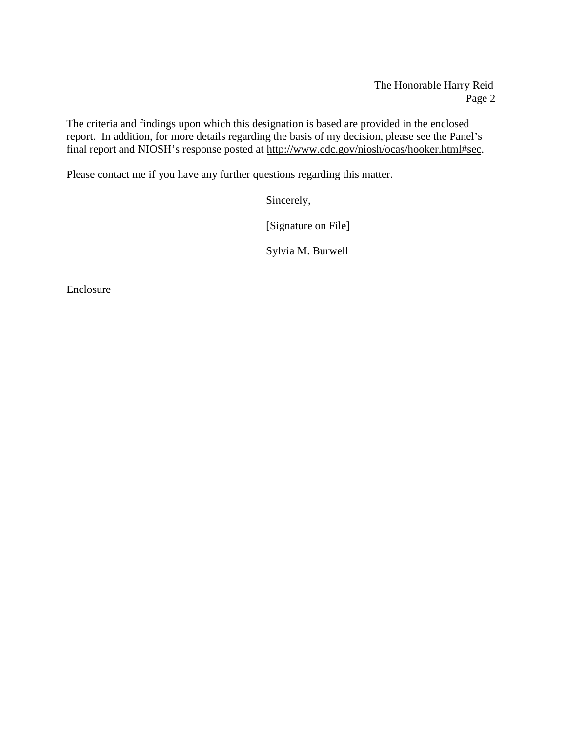The Honorable Harry Reid Page 2

The criteria and findings upon which this designation is based are provided in the enclosed report. In addition, for more details regarding the basis of my decision, please see the Panel's final report and NIOSH's response posted at [http://www.cdc.gov/niosh/ocas/hooker.html#sec.](http://www.cdc.gov/niosh/ocas/hooker.html#sec)

Please contact me if you have any further questions regarding this matter.

Sincerely,

[Signature on File]

Sylvia M. Burwell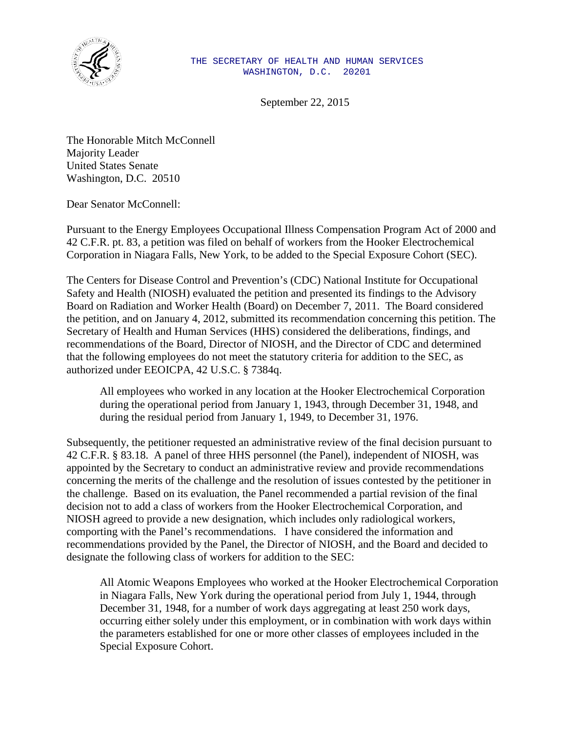

September 22, 2015

The Honorable Mitch McConnell Majority Leader United States Senate Washington, D.C. 20510

Dear Senator McConnell:

Pursuant to the Energy Employees Occupational Illness Compensation Program Act of 2000 and 42 C.F.R. pt. 83, a petition was filed on behalf of workers from the Hooker Electrochemical Corporation in Niagara Falls, New York, to be added to the Special Exposure Cohort (SEC).

The Centers for Disease Control and Prevention's (CDC) National Institute for Occupational Safety and Health (NIOSH) evaluated the petition and presented its findings to the Advisory Board on Radiation and Worker Health (Board) on December 7, 2011. The Board considered the petition, and on January 4, 2012, submitted its recommendation concerning this petition. The Secretary of Health and Human Services (HHS) considered the deliberations, findings, and recommendations of the Board, Director of NIOSH, and the Director of CDC and determined that the following employees do not meet the statutory criteria for addition to the SEC, as authorized under EEOICPA, 42 U.S.C. § 7384q.

All employees who worked in any location at the Hooker Electrochemical Corporation during the operational period from January 1, 1943, through December 31, 1948, and during the residual period from January 1, 1949, to December 31, 1976.

Subsequently, the petitioner requested an administrative review of the final decision pursuant to 42 C.F.R. § 83.18. A panel of three HHS personnel (the Panel), independent of NIOSH, was appointed by the Secretary to conduct an administrative review and provide recommendations concerning the merits of the challenge and the resolution of issues contested by the petitioner in the challenge. Based on its evaluation, the Panel recommended a partial revision of the final decision not to add a class of workers from the Hooker Electrochemical Corporation, and NIOSH agreed to provide a new designation, which includes only radiological workers, comporting with the Panel's recommendations. I have considered the information and recommendations provided by the Panel, the Director of NIOSH, and the Board and decided to designate the following class of workers for addition to the SEC: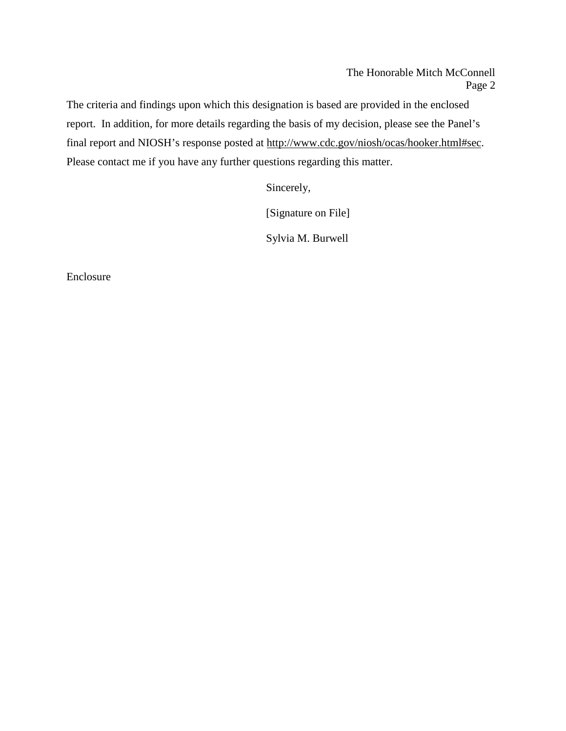Sincerely,

[Signature on File]

Sylvia M. Burwell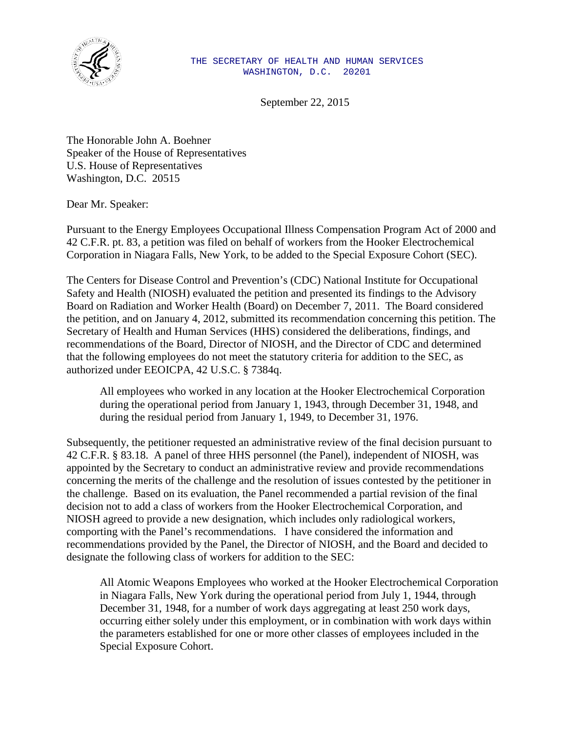

September 22, 2015

The Honorable John A. Boehner Speaker of the House of Representatives U.S. House of Representatives Washington, D.C. 20515

Dear Mr. Speaker:

Pursuant to the Energy Employees Occupational Illness Compensation Program Act of 2000 and 42 C.F.R. pt. 83, a petition was filed on behalf of workers from the Hooker Electrochemical Corporation in Niagara Falls, New York, to be added to the Special Exposure Cohort (SEC).

The Centers for Disease Control and Prevention's (CDC) National Institute for Occupational Safety and Health (NIOSH) evaluated the petition and presented its findings to the Advisory Board on Radiation and Worker Health (Board) on December 7, 2011. The Board considered the petition, and on January 4, 2012, submitted its recommendation concerning this petition. The Secretary of Health and Human Services (HHS) considered the deliberations, findings, and recommendations of the Board, Director of NIOSH, and the Director of CDC and determined that the following employees do not meet the statutory criteria for addition to the SEC, as authorized under EEOICPA, 42 U.S.C. § 7384q.

All employees who worked in any location at the Hooker Electrochemical Corporation during the operational period from January 1, 1943, through December 31, 1948, and during the residual period from January 1, 1949, to December 31, 1976.

Subsequently, the petitioner requested an administrative review of the final decision pursuant to 42 C.F.R. § 83.18. A panel of three HHS personnel (the Panel), independent of NIOSH, was appointed by the Secretary to conduct an administrative review and provide recommendations concerning the merits of the challenge and the resolution of issues contested by the petitioner in the challenge. Based on its evaluation, the Panel recommended a partial revision of the final decision not to add a class of workers from the Hooker Electrochemical Corporation, and NIOSH agreed to provide a new designation, which includes only radiological workers, comporting with the Panel's recommendations. I have considered the information and recommendations provided by the Panel, the Director of NIOSH, and the Board and decided to designate the following class of workers for addition to the SEC: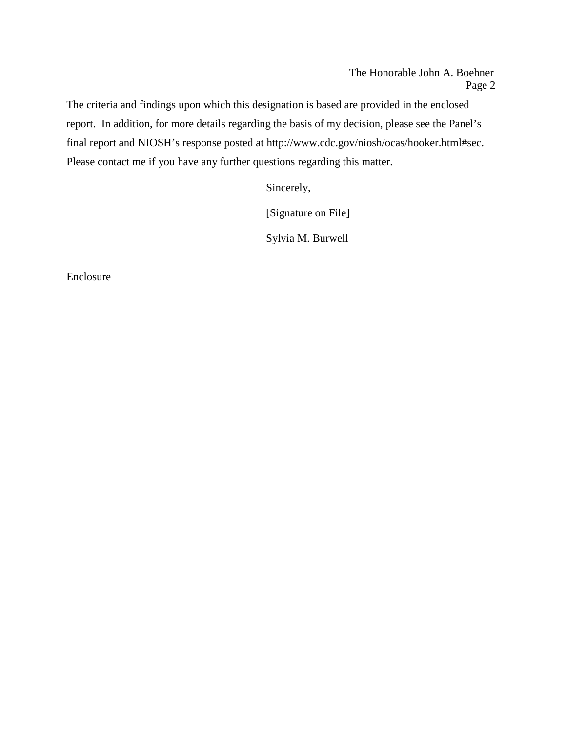Sincerely,

[Signature on File]

Sylvia M. Burwell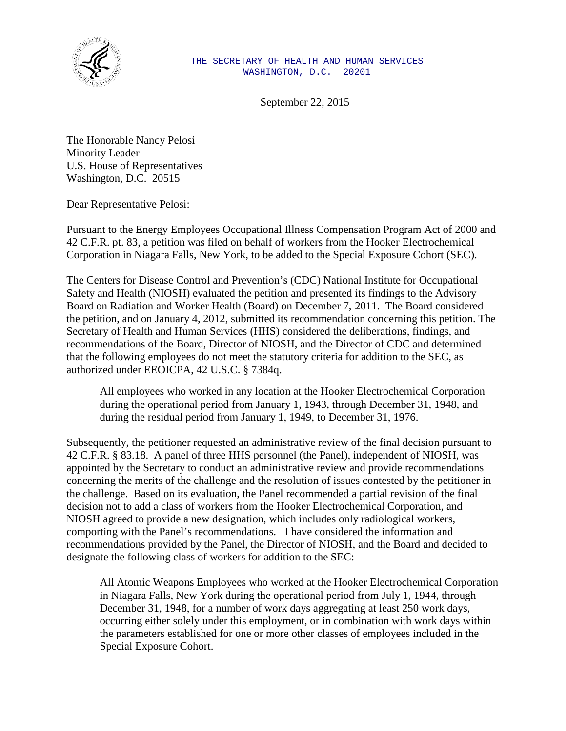

September 22, 2015

The Honorable Nancy Pelosi Minority Leader U.S. House of Representatives Washington, D.C. 20515

Dear Representative Pelosi:

Pursuant to the Energy Employees Occupational Illness Compensation Program Act of 2000 and 42 C.F.R. pt. 83, a petition was filed on behalf of workers from the Hooker Electrochemical Corporation in Niagara Falls, New York, to be added to the Special Exposure Cohort (SEC).

The Centers for Disease Control and Prevention's (CDC) National Institute for Occupational Safety and Health (NIOSH) evaluated the petition and presented its findings to the Advisory Board on Radiation and Worker Health (Board) on December 7, 2011. The Board considered the petition, and on January 4, 2012, submitted its recommendation concerning this petition. The Secretary of Health and Human Services (HHS) considered the deliberations, findings, and recommendations of the Board, Director of NIOSH, and the Director of CDC and determined that the following employees do not meet the statutory criteria for addition to the SEC, as authorized under EEOICPA, 42 U.S.C. § 7384q.

All employees who worked in any location at the Hooker Electrochemical Corporation during the operational period from January 1, 1943, through December 31, 1948, and during the residual period from January 1, 1949, to December 31, 1976.

Subsequently, the petitioner requested an administrative review of the final decision pursuant to 42 C.F.R. § 83.18. A panel of three HHS personnel (the Panel), independent of NIOSH, was appointed by the Secretary to conduct an administrative review and provide recommendations concerning the merits of the challenge and the resolution of issues contested by the petitioner in the challenge. Based on its evaluation, the Panel recommended a partial revision of the final decision not to add a class of workers from the Hooker Electrochemical Corporation, and NIOSH agreed to provide a new designation, which includes only radiological workers, comporting with the Panel's recommendations. I have considered the information and recommendations provided by the Panel, the Director of NIOSH, and the Board and decided to designate the following class of workers for addition to the SEC: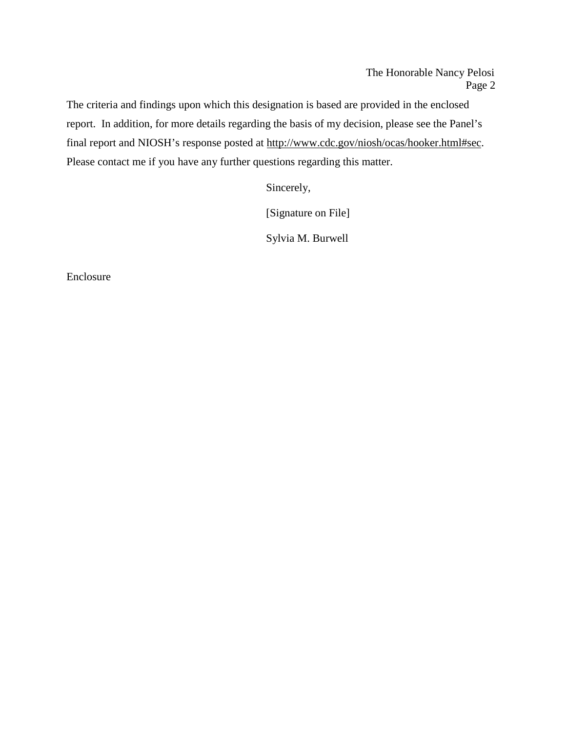Sincerely,

[Signature on File]

Sylvia M. Burwell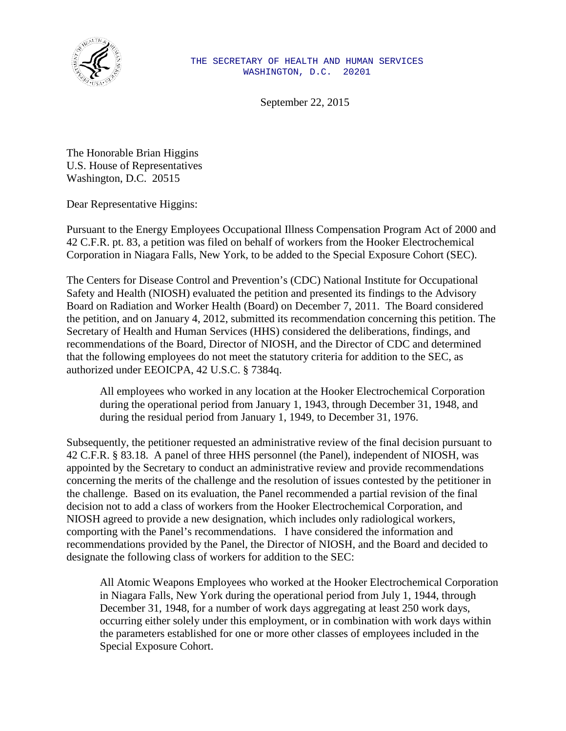

September 22, 2015

The Honorable Brian Higgins U.S. House of Representatives Washington, D.C. 20515

Dear Representative Higgins:

Pursuant to the Energy Employees Occupational Illness Compensation Program Act of 2000 and 42 C.F.R. pt. 83, a petition was filed on behalf of workers from the Hooker Electrochemical Corporation in Niagara Falls, New York, to be added to the Special Exposure Cohort (SEC).

The Centers for Disease Control and Prevention's (CDC) National Institute for Occupational Safety and Health (NIOSH) evaluated the petition and presented its findings to the Advisory Board on Radiation and Worker Health (Board) on December 7, 2011. The Board considered the petition, and on January 4, 2012, submitted its recommendation concerning this petition. The Secretary of Health and Human Services (HHS) considered the deliberations, findings, and recommendations of the Board, Director of NIOSH, and the Director of CDC and determined that the following employees do not meet the statutory criteria for addition to the SEC, as authorized under EEOICPA, 42 U.S.C. § 7384q.

All employees who worked in any location at the Hooker Electrochemical Corporation during the operational period from January 1, 1943, through December 31, 1948, and during the residual period from January 1, 1949, to December 31, 1976.

Subsequently, the petitioner requested an administrative review of the final decision pursuant to 42 C.F.R. § 83.18. A panel of three HHS personnel (the Panel), independent of NIOSH, was appointed by the Secretary to conduct an administrative review and provide recommendations concerning the merits of the challenge and the resolution of issues contested by the petitioner in the challenge. Based on its evaluation, the Panel recommended a partial revision of the final decision not to add a class of workers from the Hooker Electrochemical Corporation, and NIOSH agreed to provide a new designation, which includes only radiological workers, comporting with the Panel's recommendations. I have considered the information and recommendations provided by the Panel, the Director of NIOSH, and the Board and decided to designate the following class of workers for addition to the SEC: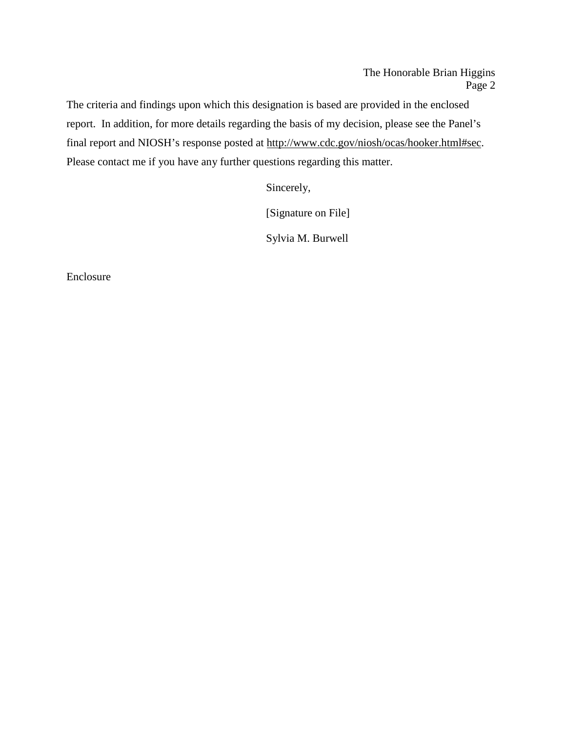Sincerely,

[Signature on File]

Sylvia M. Burwell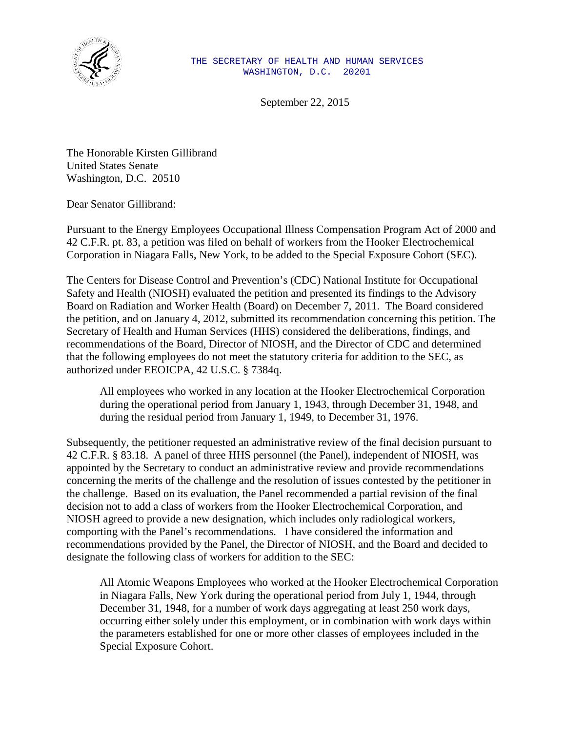

September 22, 2015

The Honorable Kirsten Gillibrand United States Senate Washington, D.C. 20510

Dear Senator Gillibrand:

Pursuant to the Energy Employees Occupational Illness Compensation Program Act of 2000 and 42 C.F.R. pt. 83, a petition was filed on behalf of workers from the Hooker Electrochemical Corporation in Niagara Falls, New York, to be added to the Special Exposure Cohort (SEC).

The Centers for Disease Control and Prevention's (CDC) National Institute for Occupational Safety and Health (NIOSH) evaluated the petition and presented its findings to the Advisory Board on Radiation and Worker Health (Board) on December 7, 2011. The Board considered the petition, and on January 4, 2012, submitted its recommendation concerning this petition. The Secretary of Health and Human Services (HHS) considered the deliberations, findings, and recommendations of the Board, Director of NIOSH, and the Director of CDC and determined that the following employees do not meet the statutory criteria for addition to the SEC, as authorized under EEOICPA, 42 U.S.C. § 7384q.

All employees who worked in any location at the Hooker Electrochemical Corporation during the operational period from January 1, 1943, through December 31, 1948, and during the residual period from January 1, 1949, to December 31, 1976.

Subsequently, the petitioner requested an administrative review of the final decision pursuant to 42 C.F.R. § 83.18. A panel of three HHS personnel (the Panel), independent of NIOSH, was appointed by the Secretary to conduct an administrative review and provide recommendations concerning the merits of the challenge and the resolution of issues contested by the petitioner in the challenge. Based on its evaluation, the Panel recommended a partial revision of the final decision not to add a class of workers from the Hooker Electrochemical Corporation, and NIOSH agreed to provide a new designation, which includes only radiological workers, comporting with the Panel's recommendations. I have considered the information and recommendations provided by the Panel, the Director of NIOSH, and the Board and decided to designate the following class of workers for addition to the SEC: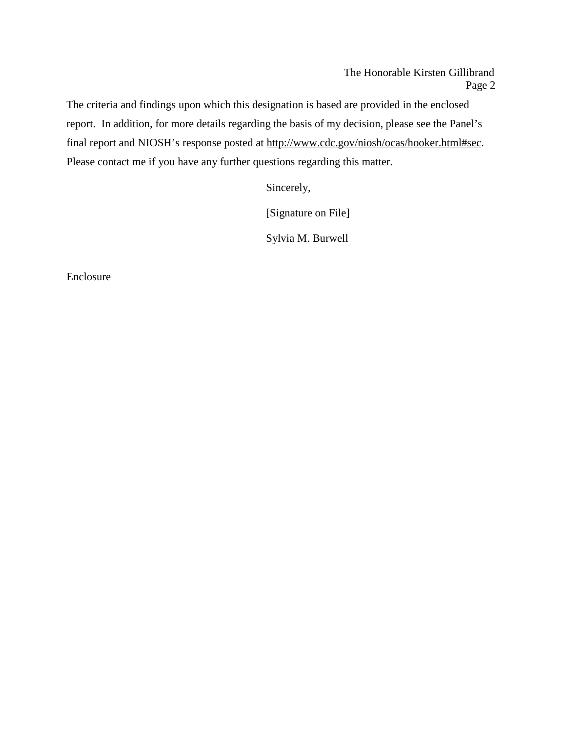Sincerely,

[Signature on File]

Sylvia M. Burwell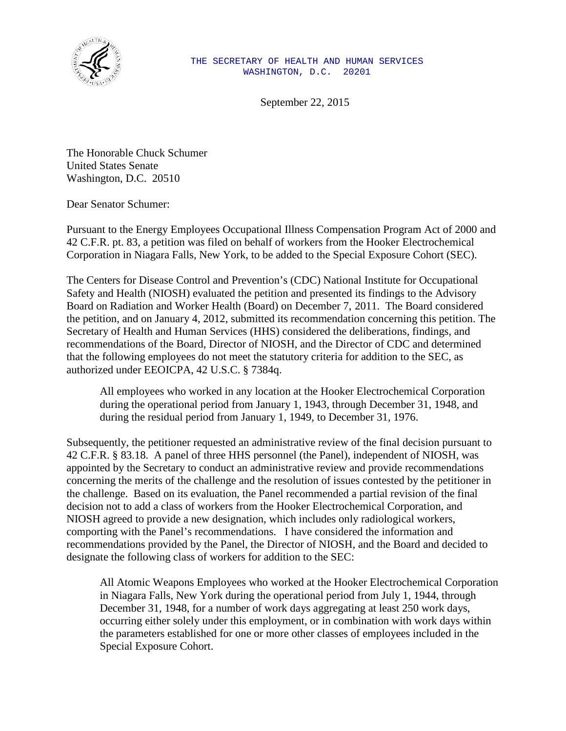

September 22, 2015

The Honorable Chuck Schumer United States Senate Washington, D.C. 20510

Dear Senator Schumer:

Pursuant to the Energy Employees Occupational Illness Compensation Program Act of 2000 and 42 C.F.R. pt. 83, a petition was filed on behalf of workers from the Hooker Electrochemical Corporation in Niagara Falls, New York, to be added to the Special Exposure Cohort (SEC).

The Centers for Disease Control and Prevention's (CDC) National Institute for Occupational Safety and Health (NIOSH) evaluated the petition and presented its findings to the Advisory Board on Radiation and Worker Health (Board) on December 7, 2011. The Board considered the petition, and on January 4, 2012, submitted its recommendation concerning this petition. The Secretary of Health and Human Services (HHS) considered the deliberations, findings, and recommendations of the Board, Director of NIOSH, and the Director of CDC and determined that the following employees do not meet the statutory criteria for addition to the SEC, as authorized under EEOICPA, 42 U.S.C. § 7384q.

All employees who worked in any location at the Hooker Electrochemical Corporation during the operational period from January 1, 1943, through December 31, 1948, and during the residual period from January 1, 1949, to December 31, 1976.

Subsequently, the petitioner requested an administrative review of the final decision pursuant to 42 C.F.R. § 83.18. A panel of three HHS personnel (the Panel), independent of NIOSH, was appointed by the Secretary to conduct an administrative review and provide recommendations concerning the merits of the challenge and the resolution of issues contested by the petitioner in the challenge. Based on its evaluation, the Panel recommended a partial revision of the final decision not to add a class of workers from the Hooker Electrochemical Corporation, and NIOSH agreed to provide a new designation, which includes only radiological workers, comporting with the Panel's recommendations. I have considered the information and recommendations provided by the Panel, the Director of NIOSH, and the Board and decided to designate the following class of workers for addition to the SEC: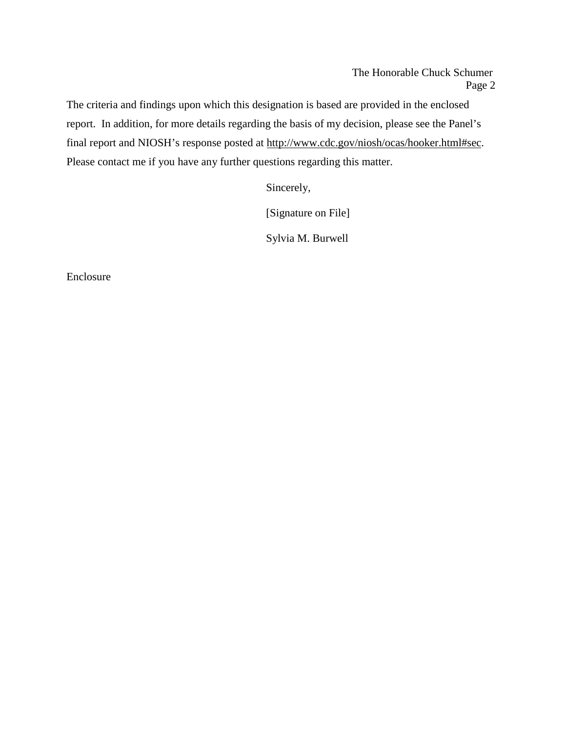The Honorable Chuck Schumer Page 2

The criteria and findings upon which this designation is based are provided in the enclosed report. In addition, for more details regarding the basis of my decision, please see the Panel's final report and NIOSH's response posted at [http://www.cdc.gov/niosh/ocas/hooker.html#sec.](http://www.cdc.gov/niosh/ocas/hooker.html#sec) Please contact me if you have any further questions regarding this matter.

Sincerely,

[Signature on File]

Sylvia M. Burwell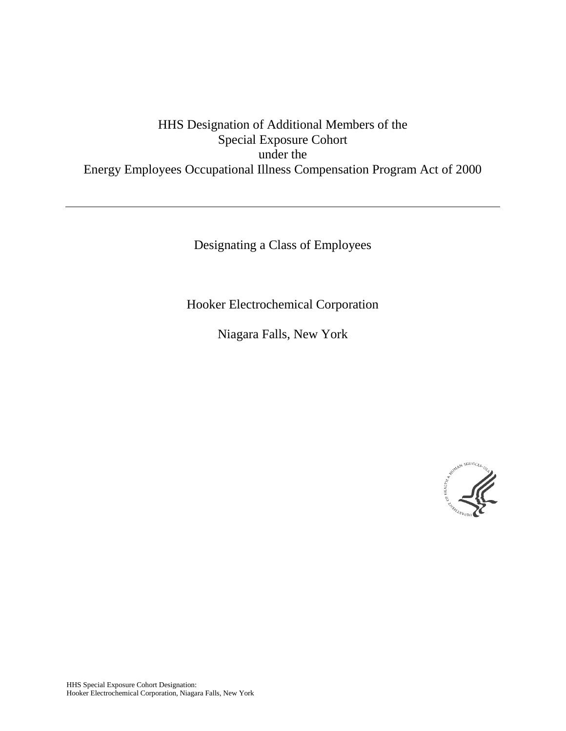# HHS Designation of Additional Members of the Special Exposure Cohort under the Energy Employees Occupational Illness Compensation Program Act of 2000

Designating a Class of Employees

Hooker Electrochemical Corporation

Niagara Falls, New York

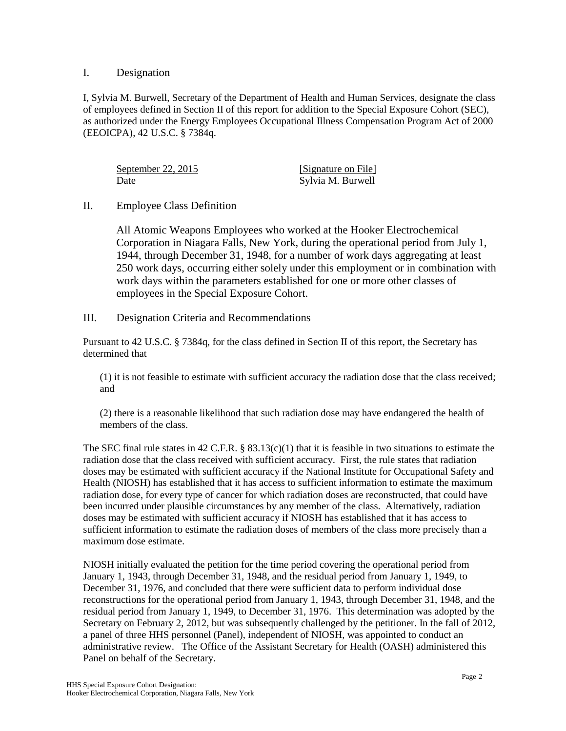## I. Designation

I, Sylvia M. Burwell, Secretary of the Department of Health and Human Services, designate the class of employees defined in Section II of this report for addition to the Special Exposure Cohort (SEC), as authorized under the Energy Employees Occupational Illness Compensation Program Act of 2000 (EEOICPA), 42 U.S.C. § 7384q.

September 22, 2015 [Signature on File] Date Sylvia M. Burwell

## II. Employee Class Definition

All Atomic Weapons Employees who worked at the Hooker Electrochemical Corporation in Niagara Falls, New York, during the operational period from July 1, 1944, through December 31, 1948, for a number of work days aggregating at least 250 work days, occurring either solely under this employment or in combination with work days within the parameters established for one or more other classes of employees in the Special Exposure Cohort.

III. Designation Criteria and Recommendations

Pursuant to 42 U.S.C. § 7384q, for the class defined in Section II of this report, the Secretary has determined that

(1) it is not feasible to estimate with sufficient accuracy the radiation dose that the class received; and

(2) there is a reasonable likelihood that such radiation dose may have endangered the health of members of the class.

The SEC final rule states in 42 C.F.R. § 83.13(c)(1) that it is feasible in two situations to estimate the radiation dose that the class received with sufficient accuracy. First, the rule states that radiation doses may be estimated with sufficient accuracy if the National Institute for Occupational Safety and Health (NIOSH) has established that it has access to sufficient information to estimate the maximum radiation dose, for every type of cancer for which radiation doses are reconstructed, that could have been incurred under plausible circumstances by any member of the class. Alternatively, radiation doses may be estimated with sufficient accuracy if NIOSH has established that it has access to sufficient information to estimate the radiation doses of members of the class more precisely than a maximum dose estimate.

NIOSH initially evaluated the petition for the time period covering the operational period from January 1, 1943, through December 31, 1948, and the residual period from January 1, 1949, to December 31, 1976, and concluded that there were sufficient data to perform individual dose reconstructions for the operational period from January 1, 1943, through December 31, 1948, and the residual period from January 1, 1949, to December 31, 1976. This determination was adopted by the Secretary on February 2, 2012, but was subsequently challenged by the petitioner. In the fall of 2012, a panel of three HHS personnel (Panel), independent of NIOSH, was appointed to conduct an administrative review. The Office of the Assistant Secretary for Health (OASH) administered this Panel on behalf of the Secretary.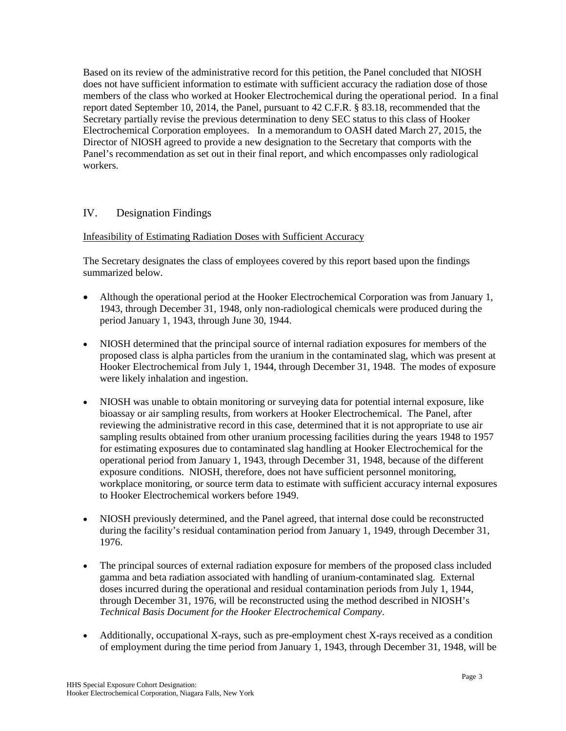Based on its review of the administrative record for this petition, the Panel concluded that NIOSH does not have sufficient information to estimate with sufficient accuracy the radiation dose of those members of the class who worked at Hooker Electrochemical during the operational period. In a final report dated September 10, 2014, the Panel, pursuant to 42 C.F.R. § 83.18, recommended that the Secretary partially revise the previous determination to deny SEC status to this class of Hooker Electrochemical Corporation employees. In a memorandum to OASH dated March 27, 2015, the Director of NIOSH agreed to provide a new designation to the Secretary that comports with the Panel's recommendation as set out in their final report, and which encompasses only radiological workers.

# IV. Designation Findings

## Infeasibility of Estimating Radiation Doses with Sufficient Accuracy

The Secretary designates the class of employees covered by this report based upon the findings summarized below.

- Although the operational period at the Hooker Electrochemical Corporation was from January 1, 1943, through December 31, 1948, only non-radiological chemicals were produced during the period January 1, 1943, through June 30, 1944.
- NIOSH determined that the principal source of internal radiation exposures for members of the proposed class is alpha particles from the uranium in the contaminated slag, which was present at Hooker Electrochemical from July 1, 1944, through December 31, 1948. The modes of exposure were likely inhalation and ingestion.
- NIOSH was unable to obtain monitoring or surveying data for potential internal exposure, like bioassay or air sampling results, from workers at Hooker Electrochemical. The Panel, after reviewing the administrative record in this case, determined that it is not appropriate to use air sampling results obtained from other uranium processing facilities during the years 1948 to 1957 for estimating exposures due to contaminated slag handling at Hooker Electrochemical for the operational period from January 1, 1943, through December 31, 1948, because of the different exposure conditions. NIOSH, therefore, does not have sufficient personnel monitoring, workplace monitoring, or source term data to estimate with sufficient accuracy internal exposures to Hooker Electrochemical workers before 1949.
- NIOSH previously determined, and the Panel agreed, that internal dose could be reconstructed during the facility's residual contamination period from January 1, 1949, through December 31, 1976.
- The principal sources of external radiation exposure for members of the proposed class included gamma and beta radiation associated with handling of uranium-contaminated slag. External doses incurred during the operational and residual contamination periods from July 1, 1944, through December 31, 1976, will be reconstructed using the method described in NIOSH's *Technical Basis Document for the Hooker Electrochemical Company*.
- Additionally, occupational X-rays, such as pre-employment chest X-rays received as a condition of employment during the time period from January 1, 1943, through December 31, 1948, will be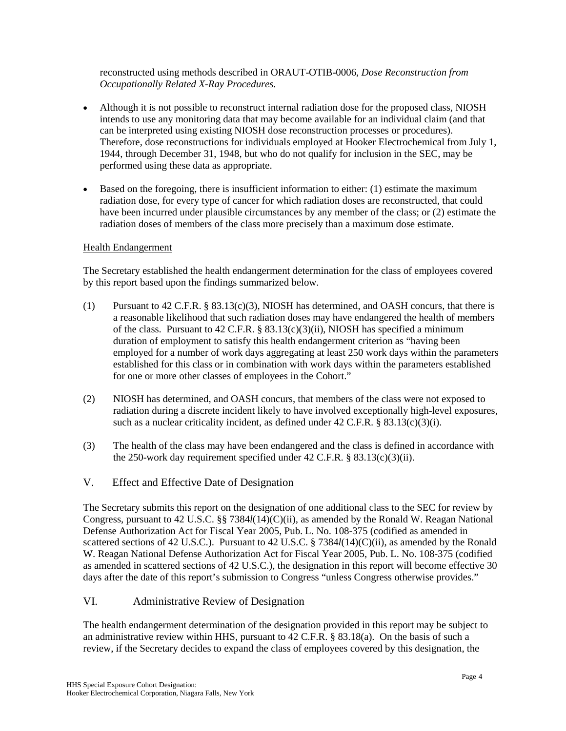reconstructed using methods described in ORAUT-OTIB-0006, *Dose Reconstruction from Occupationally Related X-Ray Procedures.* 

- Although it is not possible to reconstruct internal radiation dose for the proposed class, NIOSH intends to use any monitoring data that may become available for an individual claim (and that can be interpreted using existing NIOSH dose reconstruction processes or procedures). Therefore, dose reconstructions for individuals employed at Hooker Electrochemical from July 1, 1944, through December 31, 1948, but who do not qualify for inclusion in the SEC, may be performed using these data as appropriate.
- Based on the foregoing, there is insufficient information to either: (1) estimate the maximum radiation dose, for every type of cancer for which radiation doses are reconstructed, that could have been incurred under plausible circumstances by any member of the class; or (2) estimate the radiation doses of members of the class more precisely than a maximum dose estimate.

#### Health Endangerment

The Secretary established the health endangerment determination for the class of employees covered by this report based upon the findings summarized below.

- (1) Pursuant to 42 C.F.R. § 83.13(c)(3), NIOSH has determined, and OASH concurs, that there is a reasonable likelihood that such radiation doses may have endangered the health of members of the class. Pursuant to 42 C.F.R. § 83.13(c)(3)(ii), NIOSH has specified a minimum duration of employment to satisfy this health endangerment criterion as "having been employed for a number of work days aggregating at least 250 work days within the parameters established for this class or in combination with work days within the parameters established for one or more other classes of employees in the Cohort."
- (2) NIOSH has determined, and OASH concurs, that members of the class were not exposed to radiation during a discrete incident likely to have involved exceptionally high-level exposures, such as a nuclear criticality incident, as defined under 42 C.F.R. § 83.13(c)(3)(i).
- (3) The health of the class may have been endangered and the class is defined in accordance with the 250-work day requirement specified under  $42$  C.F.R. § 83.13(c)(3)(ii).
- V. Effect and Effective Date of Designation

The Secretary submits this report on the designation of one additional class to the SEC for review by Congress, pursuant to 42 U.S.C. §§ 7384*l*(14)(C)(ii), as amended by the Ronald W. Reagan National Defense Authorization Act for Fiscal Year 2005, Pub. L. No. 108-375 (codified as amended in scattered sections of 42 U.S.C.). Pursuant to 42 U.S.C. § 7384*l*(14)(C)(ii), as amended by the Ronald W. Reagan National Defense Authorization Act for Fiscal Year 2005, Pub. L. No. 108-375 (codified as amended in scattered sections of 42 U.S.C.), the designation in this report will become effective 30 days after the date of this report's submission to Congress "unless Congress otherwise provides."

#### VI. Administrative Review of Designation

The health endangerment determination of the designation provided in this report may be subject to an administrative review within HHS, pursuant to 42 C.F.R. § 83.18(a). On the basis of such a review, if the Secretary decides to expand the class of employees covered by this designation, the